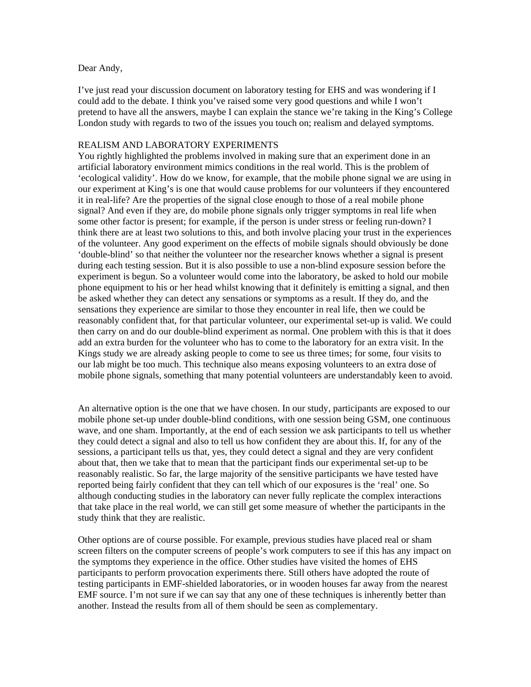## Dear Andy,

I've just read your discussion document on laboratory testing for EHS and was wondering if I could add to the debate. I think you've raised some very good questions and while I won't pretend to have all the answers, maybe I can explain the stance we're taking in the King's College London study with regards to two of the issues you touch on; realism and delayed symptoms.

## REALISM AND LABORATORY EXPERIMENTS

You rightly highlighted the problems involved in making sure that an experiment done in an artificial laboratory environment mimics conditions in the real world. This is the problem of 'ecological validity'. How do we know, for example, that the mobile phone signal we are using in our experiment at King's is one that would cause problems for our volunteers if they encountered it in real-life? Are the properties of the signal close enough to those of a real mobile phone signal? And even if they are, do mobile phone signals only trigger symptoms in real life when some other factor is present; for example, if the person is under stress or feeling run-down? I think there are at least two solutions to this, and both involve placing your trust in the experiences of the volunteer. Any good experiment on the effects of mobile signals should obviously be done 'double-blind' so that neither the volunteer nor the researcher knows whether a signal is present during each testing session. But it is also possible to use a non-blind exposure session before the experiment is begun. So a volunteer would come into the laboratory, be asked to hold our mobile phone equipment to his or her head whilst knowing that it definitely is emitting a signal, and then be asked whether they can detect any sensations or symptoms as a result. If they do, and the sensations they experience are similar to those they encounter in real life, then we could be reasonably confident that, for that particular volunteer, our experimental set-up is valid. We could then carry on and do our double-blind experiment as normal. One problem with this is that it does add an extra burden for the volunteer who has to come to the laboratory for an extra visit. In the Kings study we are already asking people to come to see us three times; for some, four visits to our lab might be too much. This technique also means exposing volunteers to an extra dose of mobile phone signals, something that many potential volunteers are understandably keen to avoid.

An alternative option is the one that we have chosen. In our study, participants are exposed to our mobile phone set-up under double-blind conditions, with one session being GSM, one continuous wave, and one sham. Importantly, at the end of each session we ask participants to tell us whether they could detect a signal and also to tell us how confident they are about this. If, for any of the sessions, a participant tells us that, yes, they could detect a signal and they are very confident about that, then we take that to mean that the participant finds our experimental set-up to be reasonably realistic. So far, the large majority of the sensitive participants we have tested have reported being fairly confident that they can tell which of our exposures is the 'real' one. So although conducting studies in the laboratory can never fully replicate the complex interactions that take place in the real world, we can still get some measure of whether the participants in the study think that they are realistic.

Other options are of course possible. For example, previous studies have placed real or sham screen filters on the computer screens of people's work computers to see if this has any impact on the symptoms they experience in the office. Other studies have visited the homes of EHS participants to perform provocation experiments there. Still others have adopted the route of testing participants in EMF-shielded laboratories, or in wooden houses far away from the nearest EMF source. I'm not sure if we can say that any one of these techniques is inherently better than another. Instead the results from all of them should be seen as complementary.